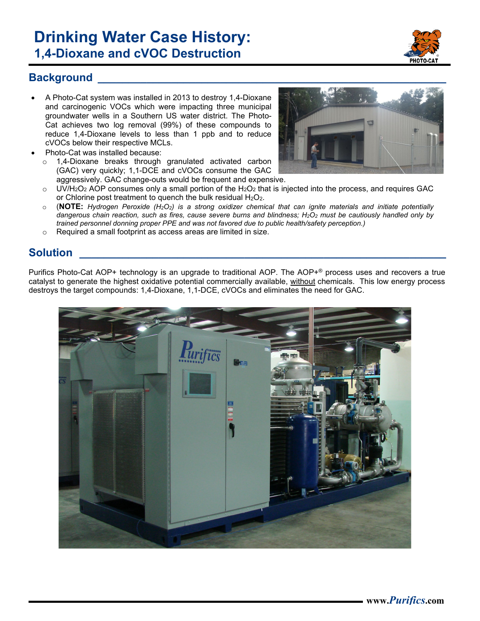# **Drinking Water Case History: 1,4-Dioxane and cVOC Destruction**

#### **Background**

- A Photo-Cat system was installed in 2013 to destroy 1,4-Dioxane and carcinogenic VOCs which were impacting three municipal groundwater wells in a Southern US water district. The Photo-Cat achieves two log removal (99%) of these compounds to reduce 1,4-Dioxane levels to less than 1 ppb and to reduce cVOCs below their respective MCLs.
- Photo-Cat was installed because:
	- o 1,4-Dioxane breaks through granulated activated carbon (GAC) very quickly; 1,1-DCE and cVOCs consume the GAC aggressively. GAC change-outs would be frequent and expensive.



- $\circ$  UV/H<sub>2</sub>O<sub>2</sub> AOP consumes only a small portion of the H<sub>2</sub>O<sub>2</sub> that is injected into the process, and requires GAC or Chlorine post treatment to quench the bulk residual  $H_2O_2$ .
- o (**NOTE:** *Hydrogen Peroxide (H2O2) is a strong oxidizer chemical that can ignite materials and initiate potentially dangerous chain reaction, such as fires, cause severe burns and blindness; H2O2 must be cautiously handled only by trained personnel donning proper PPE and was not favored due to public health/safety perception.)*
- o Required a small footprint as access areas are limited in size.

## **Solution \_\_\_\_\_\_\_\_\_\_\_\_\_\_\_\_\_\_\_\_\_\_\_\_\_\_\_\_\_\_\_\_\_\_\_\_\_\_\_\_\_\_\_\_\_\_\_\_\_\_\_\_\_\_\_\_\_\_\_\_**

Purifics Photo-Cat AOP+ technology is an upgrade to traditional AOP. The AOP+® process uses and recovers a true catalyst to generate the highest oxidative potential commercially available, without chemicals. This low energy process destroys the target compounds: 1,4-Dioxane, 1,1-DCE, cVOCs and eliminates the need for GAC.